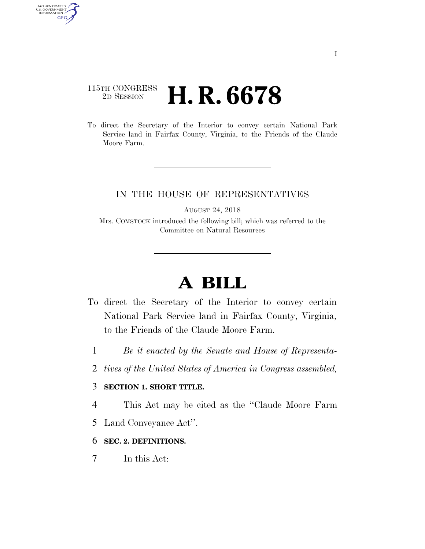## 115TH CONGRESS <sup>2D SESSION</sup> **H. R. 6678**

AUTHENTICATED<br>U.S. GOVERNMENT<br>INFORMATION

**GPO** 

To direct the Secretary of the Interior to convey certain National Park Service land in Fairfax County, Virginia, to the Friends of the Claude Moore Farm.

### IN THE HOUSE OF REPRESENTATIVES

AUGUST 24, 2018

Mrs. COMSTOCK introduced the following bill; which was referred to the Committee on Natural Resources

# **A BILL**

- To direct the Secretary of the Interior to convey certain National Park Service land in Fairfax County, Virginia, to the Friends of the Claude Moore Farm.
	- 1 *Be it enacted by the Senate and House of Representa-*
	- 2 *tives of the United States of America in Congress assembled,*

#### 3 **SECTION 1. SHORT TITLE.**

4 This Act may be cited as the ''Claude Moore Farm

5 Land Conveyance Act''.

#### 6 **SEC. 2. DEFINITIONS.**

7 In this Act: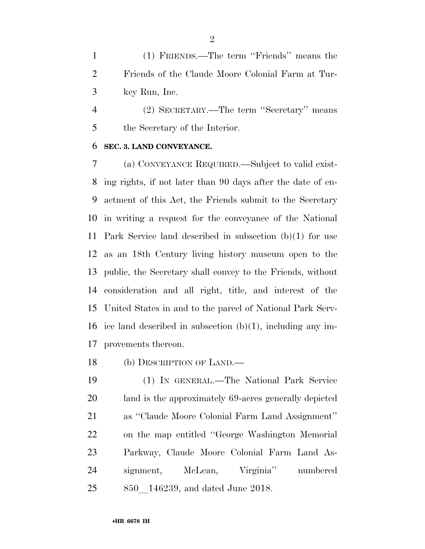(1) FRIENDS.—The term ''Friends'' means the Friends of the Claude Moore Colonial Farm at Tur-key Run, Inc.

 (2) SECRETARY.—The term ''Secretary'' means the Secretary of the Interior.

#### **SEC. 3. LAND CONVEYANCE.**

 (a) CONVEYANCE REQUIRED.—Subject to valid exist- ing rights, if not later than 90 days after the date of en- actment of this Act, the Friends submit to the Secretary in writing a request for the conveyance of the National Park Service land described in subsection (b)(1) for use as an 18th Century living history museum open to the public, the Secretary shall convey to the Friends, without consideration and all right, title, and interest of the United States in and to the parcel of National Park Serv- ice land described in subsection (b)(1), including any im-provements thereon.

(b) DESCRIPTION OF LAND.—

 (1) IN GENERAL.—The National Park Service land is the approximately 69-acres generally depicted as ''Claude Moore Colonial Farm Land Assignment'' on the map entitled ''George Washington Memorial Parkway, Claude Moore Colonial Farm Land As- signment, McLean, Virginia'' numbered 25 850 146239, and dated June 2018.